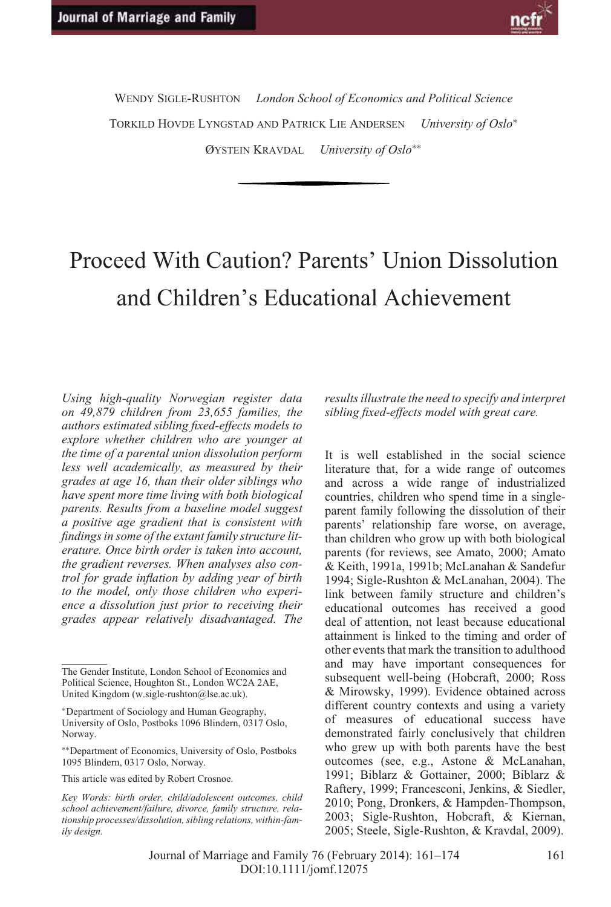

WENDY SIGLE-RUSHTON *London School of Economics and Political Science* TORKILD HOVDE LYNGSTAD AND PATRICK LIE ANDERSEN *University of Oslo*<sup>∗</sup> ØYSTEIN KRAVDAL *University of Oslo*∗∗

# Proceed With Caution? Parents' Union Dissolution and Children's Educational Achievement

*Using high-quality Norwegian register data on 49,879 children from 23,655 families, the authors estimated sibling fixed-effects models to explore whether children who are younger at the time of a parental union dissolution perform less well academically, as measured by their grades at age 16, than their older siblings who have spent more time living with both biological parents. Results from a baseline model suggest a positive age gradient that is consistent with findings in some of the extant family structure literature. Once birth order is taken into account, the gradient reverses. When analyses also control for grade inflation by adding year of birth to the model, only those children who experience a dissolution just prior to receiving their grades appear relatively disadvantaged. The*

*results illustrate the need to specify and interpret sibling fixed-effects model with great care.*

It is well established in the social science literature that, for a wide range of outcomes and across a wide range of industrialized countries, children who spend time in a singleparent family following the dissolution of their parents' relationship fare worse, on average, than children who grow up with both biological parents (for reviews, see Amato, 2000; Amato & Keith, 1991a, 1991b; McLanahan & Sandefur 1994; Sigle-Rushton & McLanahan, 2004). The link between family structure and children's educational outcomes has received a good deal of attention, not least because educational attainment is linked to the timing and order of other events that mark the transition to adulthood and may have important consequences for subsequent well-being (Hobcraft, 2000; Ross & Mirowsky, 1999). Evidence obtained across different country contexts and using a variety of measures of educational success have demonstrated fairly conclusively that children who grew up with both parents have the best outcomes (see, e.g., Astone & McLanahan, 1991; Biblarz & Gottainer, 2000; Biblarz & Raftery, 1999; Francesconi, Jenkins, & Siedler, 2010; Pong, Dronkers, & Hampden-Thompson, 2003; Sigle-Rushton, Hobcraft, & Kiernan, 2005; Steele, Sigle-Rushton, & Kravdal, 2009).

The Gender Institute, London School of Economics and Political Science, Houghton St., London WC2A 2AE, United Kingdom (w.sigle-rushton@lse.ac.uk).

<sup>∗</sup>Department of Sociology and Human Geography, University of Oslo, Postboks 1096 Blindern, 0317 Oslo, Norway.

<sup>∗∗</sup>Department of Economics, University of Oslo, Postboks 1095 Blindern, 0317 Oslo, Norway.

This article was edited by Robert Crosnoe.

*Key Words: birth order, child/adolescent outcomes, child school achievement/failure, divorce, family structure, relationship processes/dissolution, sibling relations, within-family design.*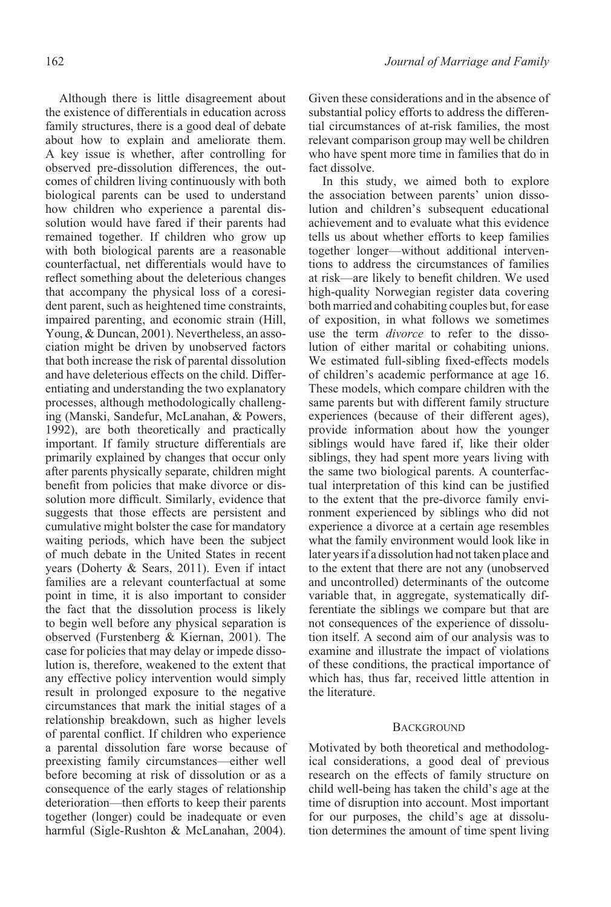Although there is little disagreement about the existence of differentials in education across family structures, there is a good deal of debate about how to explain and ameliorate them. A key issue is whether, after controlling for observed pre-dissolution differences, the outcomes of children living continuously with both biological parents can be used to understand how children who experience a parental dissolution would have fared if their parents had remained together. If children who grow up with both biological parents are a reasonable counterfactual, net differentials would have to reflect something about the deleterious changes that accompany the physical loss of a coresident parent, such as heightened time constraints, impaired parenting, and economic strain (Hill, Young, & Duncan, 2001). Nevertheless, an association might be driven by unobserved factors that both increase the risk of parental dissolution and have deleterious effects on the child. Differentiating and understanding the two explanatory processes, although methodologically challenging (Manski, Sandefur, McLanahan, & Powers, 1992), are both theoretically and practically important. If family structure differentials are primarily explained by changes that occur only after parents physically separate, children might benefit from policies that make divorce or dissolution more difficult. Similarly, evidence that suggests that those effects are persistent and cumulative might bolster the case for mandatory waiting periods, which have been the subject of much debate in the United States in recent years (Doherty & Sears, 2011). Even if intact families are a relevant counterfactual at some point in time, it is also important to consider the fact that the dissolution process is likely to begin well before any physical separation is observed (Furstenberg & Kiernan, 2001). The case for policies that may delay or impede dissolution is, therefore, weakened to the extent that any effective policy intervention would simply result in prolonged exposure to the negative circumstances that mark the initial stages of a relationship breakdown, such as higher levels of parental conflict. If children who experience a parental dissolution fare worse because of preexisting family circumstances—either well before becoming at risk of dissolution or as a consequence of the early stages of relationship deterioration—then efforts to keep their parents together (longer) could be inadequate or even harmful (Sigle-Rushton & McLanahan, 2004).

Given these considerations and in the absence of substantial policy efforts to address the differential circumstances of at-risk families, the most relevant comparison group may well be children who have spent more time in families that do in fact dissolve.

In this study, we aimed both to explore the association between parents' union dissolution and children's subsequent educational achievement and to evaluate what this evidence tells us about whether efforts to keep families together longer—without additional interventions to address the circumstances of families at risk—are likely to benefit children. We used high-quality Norwegian register data covering both married and cohabiting couples but, for ease of exposition, in what follows we sometimes use the term *divorce* to refer to the dissolution of either marital or cohabiting unions. We estimated full-sibling fixed-effects models of children's academic performance at age 16. These models, which compare children with the same parents but with different family structure experiences (because of their different ages), provide information about how the younger siblings would have fared if, like their older siblings, they had spent more years living with the same two biological parents. A counterfactual interpretation of this kind can be justified to the extent that the pre-divorce family environment experienced by siblings who did not experience a divorce at a certain age resembles what the family environment would look like in later years if a dissolution had not taken place and to the extent that there are not any (unobserved and uncontrolled) determinants of the outcome variable that, in aggregate, systematically differentiate the siblings we compare but that are not consequences of the experience of dissolution itself. A second aim of our analysis was to examine and illustrate the impact of violations of these conditions, the practical importance of which has, thus far, received little attention in the literature.

#### **BACKGROUND**

Motivated by both theoretical and methodological considerations, a good deal of previous research on the effects of family structure on child well-being has taken the child's age at the time of disruption into account. Most important for our purposes, the child's age at dissolution determines the amount of time spent living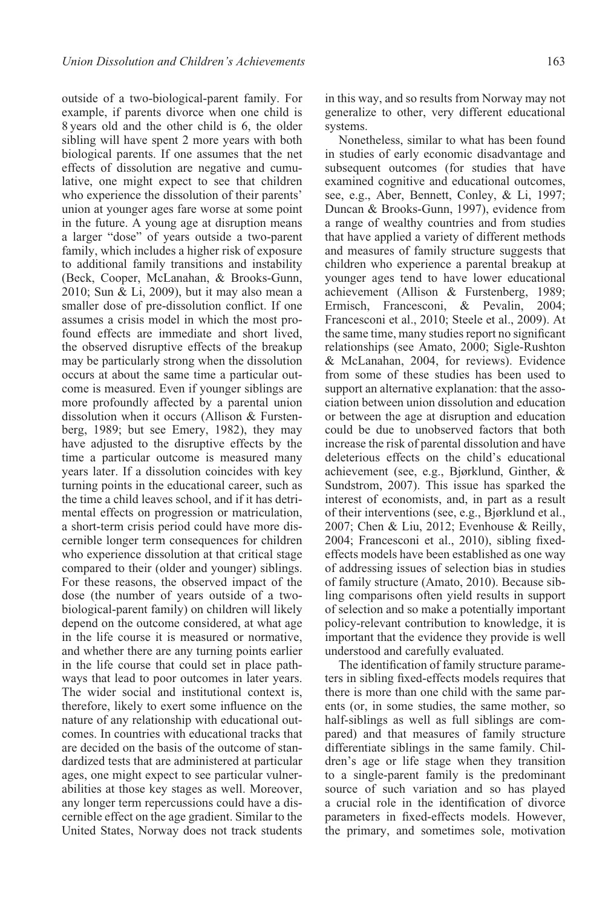outside of a two-biological-parent family. For example, if parents divorce when one child is 8 years old and the other child is 6, the older sibling will have spent 2 more years with both biological parents. If one assumes that the net effects of dissolution are negative and cumulative, one might expect to see that children who experience the dissolution of their parents' union at younger ages fare worse at some point in the future. A young age at disruption means a larger "dose" of years outside a two-parent family, which includes a higher risk of exposure to additional family transitions and instability (Beck, Cooper, McLanahan, & Brooks-Gunn, 2010; Sun & Li, 2009), but it may also mean a smaller dose of pre-dissolution conflict. If one assumes a crisis model in which the most profound effects are immediate and short lived, the observed disruptive effects of the breakup may be particularly strong when the dissolution occurs at about the same time a particular outcome is measured. Even if younger siblings are more profoundly affected by a parental union dissolution when it occurs (Allison & Furstenberg, 1989; but see Emery, 1982), they may have adjusted to the disruptive effects by the time a particular outcome is measured many years later. If a dissolution coincides with key turning points in the educational career, such as the time a child leaves school, and if it has detrimental effects on progression or matriculation, a short-term crisis period could have more discernible longer term consequences for children who experience dissolution at that critical stage compared to their (older and younger) siblings. For these reasons, the observed impact of the dose (the number of years outside of a twobiological-parent family) on children will likely depend on the outcome considered, at what age in the life course it is measured or normative, and whether there are any turning points earlier in the life course that could set in place pathways that lead to poor outcomes in later years. The wider social and institutional context is, therefore, likely to exert some influence on the nature of any relationship with educational outcomes. In countries with educational tracks that are decided on the basis of the outcome of standardized tests that are administered at particular ages, one might expect to see particular vulnerabilities at those key stages as well. Moreover, any longer term repercussions could have a discernible effect on the age gradient. Similar to the United States, Norway does not track students

in this way, and so results from Norway may not generalize to other, very different educational systems.

Nonetheless, similar to what has been found in studies of early economic disadvantage and subsequent outcomes (for studies that have examined cognitive and educational outcomes, see, e.g., Aber, Bennett, Conley, & Li, 1997; Duncan & Brooks-Gunn, 1997), evidence from a range of wealthy countries and from studies that have applied a variety of different methods and measures of family structure suggests that children who experience a parental breakup at younger ages tend to have lower educational achievement (Allison & Furstenberg, 1989; Ermisch, Francesconi, & Pevalin, 2004; Francesconi et al., 2010; Steele et al., 2009). At the same time, many studies report no significant relationships (see Amato, 2000; Sigle-Rushton & McLanahan, 2004, for reviews). Evidence from some of these studies has been used to support an alternative explanation: that the association between union dissolution and education or between the age at disruption and education could be due to unobserved factors that both increase the risk of parental dissolution and have deleterious effects on the child's educational achievement (see, e.g., Bjørklund, Ginther, & Sundstrom, 2007). This issue has sparked the interest of economists, and, in part as a result of their interventions (see, e.g., Bjørklund et al., 2007; Chen & Liu, 2012; Evenhouse & Reilly, 2004; Francesconi et al., 2010), sibling fixedeffects models have been established as one way of addressing issues of selection bias in studies of family structure (Amato, 2010). Because sibling comparisons often yield results in support of selection and so make a potentially important policy-relevant contribution to knowledge, it is important that the evidence they provide is well understood and carefully evaluated.

The identification of family structure parameters in sibling fixed-effects models requires that there is more than one child with the same parents (or, in some studies, the same mother, so half-siblings as well as full siblings are compared) and that measures of family structure differentiate siblings in the same family. Children's age or life stage when they transition to a single-parent family is the predominant source of such variation and so has played a crucial role in the identification of divorce parameters in fixed-effects models. However, the primary, and sometimes sole, motivation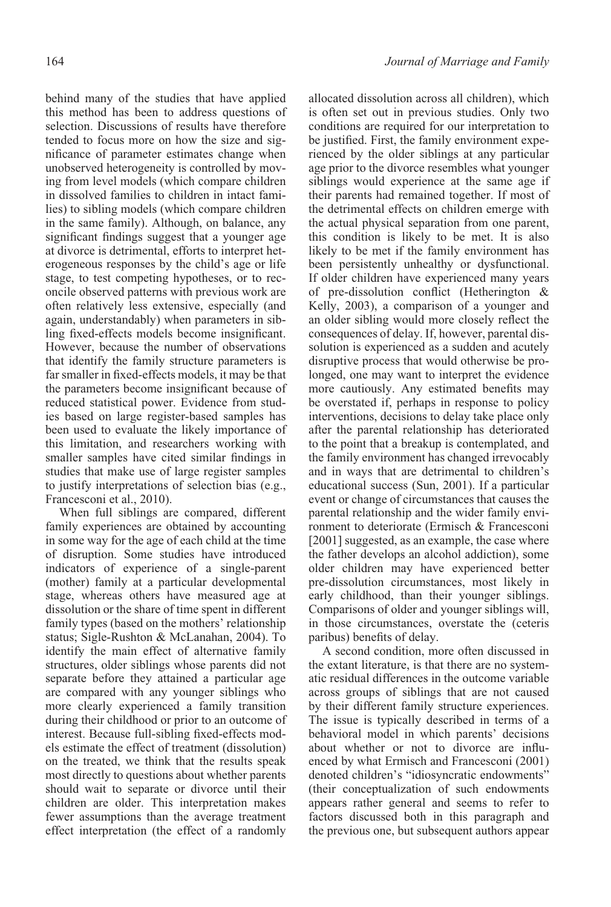behind many of the studies that have applied this method has been to address questions of selection. Discussions of results have therefore tended to focus more on how the size and significance of parameter estimates change when unobserved heterogeneity is controlled by moving from level models (which compare children in dissolved families to children in intact families) to sibling models (which compare children in the same family). Although, on balance, any significant findings suggest that a younger age at divorce is detrimental, efforts to interpret heterogeneous responses by the child's age or life stage, to test competing hypotheses, or to reconcile observed patterns with previous work are often relatively less extensive, especially (and again, understandably) when parameters in sibling fixed-effects models become insignificant. However, because the number of observations that identify the family structure parameters is far smaller in fixed-effects models, it may be that the parameters become insignificant because of reduced statistical power. Evidence from studies based on large register-based samples has been used to evaluate the likely importance of this limitation, and researchers working with smaller samples have cited similar findings in studies that make use of large register samples to justify interpretations of selection bias (e.g., Francesconi et al., 2010).

When full siblings are compared, different family experiences are obtained by accounting in some way for the age of each child at the time of disruption. Some studies have introduced indicators of experience of a single-parent (mother) family at a particular developmental stage, whereas others have measured age at dissolution or the share of time spent in different family types (based on the mothers' relationship status; Sigle-Rushton & McLanahan, 2004). To identify the main effect of alternative family structures, older siblings whose parents did not separate before they attained a particular age are compared with any younger siblings who more clearly experienced a family transition during their childhood or prior to an outcome of interest. Because full-sibling fixed-effects models estimate the effect of treatment (dissolution) on the treated, we think that the results speak most directly to questions about whether parents should wait to separate or divorce until their children are older. This interpretation makes fewer assumptions than the average treatment effect interpretation (the effect of a randomly

allocated dissolution across all children), which is often set out in previous studies. Only two conditions are required for our interpretation to be justified. First, the family environment experienced by the older siblings at any particular age prior to the divorce resembles what younger siblings would experience at the same age if their parents had remained together. If most of the detrimental effects on children emerge with the actual physical separation from one parent, this condition is likely to be met. It is also likely to be met if the family environment has been persistently unhealthy or dysfunctional. If older children have experienced many years of pre-dissolution conflict (Hetherington & Kelly, 2003), a comparison of a younger and an older sibling would more closely reflect the consequences of delay. If, however, parental dissolution is experienced as a sudden and acutely disruptive process that would otherwise be prolonged, one may want to interpret the evidence more cautiously. Any estimated benefits may be overstated if, perhaps in response to policy interventions, decisions to delay take place only after the parental relationship has deteriorated to the point that a breakup is contemplated, and the family environment has changed irrevocably and in ways that are detrimental to children's educational success (Sun, 2001). If a particular event or change of circumstances that causes the parental relationship and the wider family environment to deteriorate (Ermisch & Francesconi [2001] suggested, as an example, the case where the father develops an alcohol addiction), some older children may have experienced better pre-dissolution circumstances, most likely in early childhood, than their younger siblings. Comparisons of older and younger siblings will, in those circumstances, overstate the (ceteris paribus) benefits of delay.

A second condition, more often discussed in the extant literature, is that there are no systematic residual differences in the outcome variable across groups of siblings that are not caused by their different family structure experiences. The issue is typically described in terms of a behavioral model in which parents' decisions about whether or not to divorce are influenced by what Ermisch and Francesconi (2001) denoted children's "idiosyncratic endowments" (their conceptualization of such endowments appears rather general and seems to refer to factors discussed both in this paragraph and the previous one, but subsequent authors appear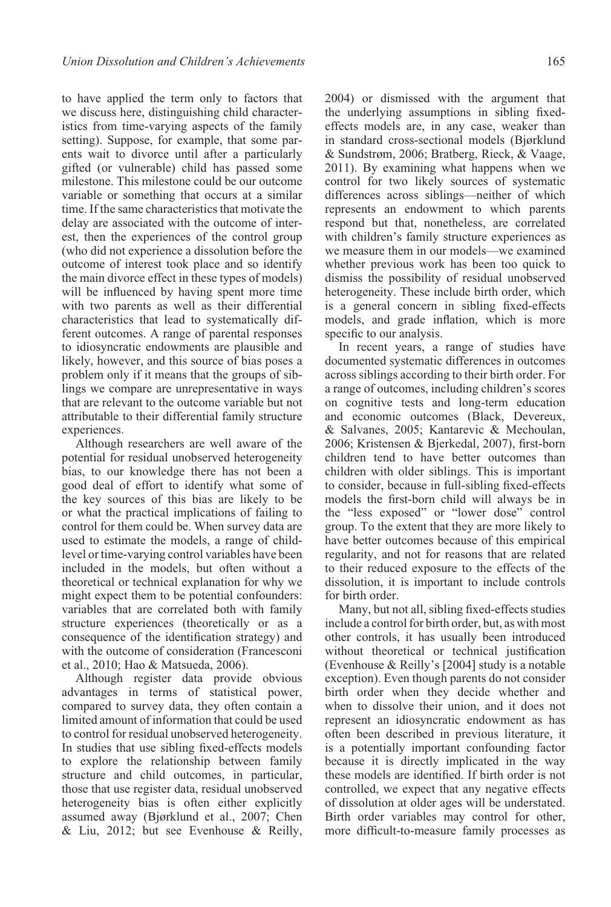to have applied the term only to factors that we discuss here, distinguishing child characteristics from time-varying aspects of the family setting). Suppose, for example, that some parents wait to divorce until after a particularly gifted (or vulnerable) child has passed some milestone. This milestone could be our outcome variable or something that occurs at a similar time. If the same characteristics that motivate the delay are associated with the outcome of interest, then the experiences of the control group (who did not experience a dissolution before the outcome of interest took place and so identify the main divorce effect in these types of models) will be influenced by having spent more time with two parents as well as their differential characteristics that lead to systematically different outcomes. A range of parental responses to idiosyncratic endowments are plausible and likely, however, and this source of bias poses a problem only if it means that the groups of siblings we compare are unrepresentative in ways that are relevant to the outcome variable but not attributable to their differential family structure experiences.

Although researchers are well aware of the potential for residual unobserved heterogeneity bias, to our knowledge there has not been a good deal of effort to identify what some of the key sources of this bias are likely to be or what the practical implications of failing to control for them could be. When survey data are used to estimate the models, a range of childlevel or time-varying control variables have been included in the models, but often without a theoretical or technical explanation for why we might expect them to be potential confounders: variables that are correlated both with family structure experiences (theoretically or as a consequence of the identification strategy) and with the outcome of consideration (Francesconi et al., 2010; Hao & Matsueda, 2006).

Although register data provide obvious advantages in terms of statistical power, compared to survey data, they often contain a limited amount of information that could be used to control for residual unobserved heterogeneity. In studies that use sibling fixed-effects models to explore the relationship between family structure and child outcomes, in particular, those that use register data, residual unobserved heterogeneity bias is often either explicitly assumed away (Bjørklund et al., 2007; Chen & Liu, 2012; but see Evenhouse & Reilly,

2004) or dismissed with the argument that the underlying assumptions in sibling fixedeffects models are, in any case, weaker than in standard cross-sectional models (Bjørklund & Sundstrøm, 2006; Bratberg, Rieck, & Vaage, 2011). By examining what happens when we control for two likely sources of systematic differences across siblings—neither of which represents an endowment to which parents respond but that, nonetheless, are correlated with children's family structure experiences as we measure them in our models—we examined whether previous work has been too quick to dismiss the possibility of residual unobserved heterogeneity. These include birth order, which is a general concern in sibling fixed-effects models, and grade inflation, which is more specific to our analysis.

In recent years, a range of studies have documented systematic differences in outcomes across siblings according to their birth order. For a range of outcomes, including children's scores on cognitive tests and long-term education and economic outcomes (Black, Devereux, & Salvanes, 2005; Kantarevic & Mechoulan, 2006; Kristensen & Bjerkedal, 2007), first-born children tend to have better outcomes than children with older siblings. This is important to consider, because in full-sibling fixed-effects models the first-born child will always be in the "less exposed" or "lower dose" control group. To the extent that they are more likely to have better outcomes because of this empirical regularity, and not for reasons that are related to their reduced exposure to the effects of the dissolution, it is important to include controls for birth order.

Many, but not all, sibling fixed-effects studies include a control for birth order, but, as with most other controls, it has usually been introduced without theoretical or technical justification (Evenhouse & Reilly's [2004] study is a notable exception). Even though parents do not consider birth order when they decide whether and when to dissolve their union, and it does not represent an idiosyncratic endowment as has often been described in previous literature, it is a potentially important confounding factor because it is directly implicated in the way these models are identified. If birth order is not controlled, we expect that any negative effects of dissolution at older ages will be understated. Birth order variables may control for other, more difficult-to-measure family processes as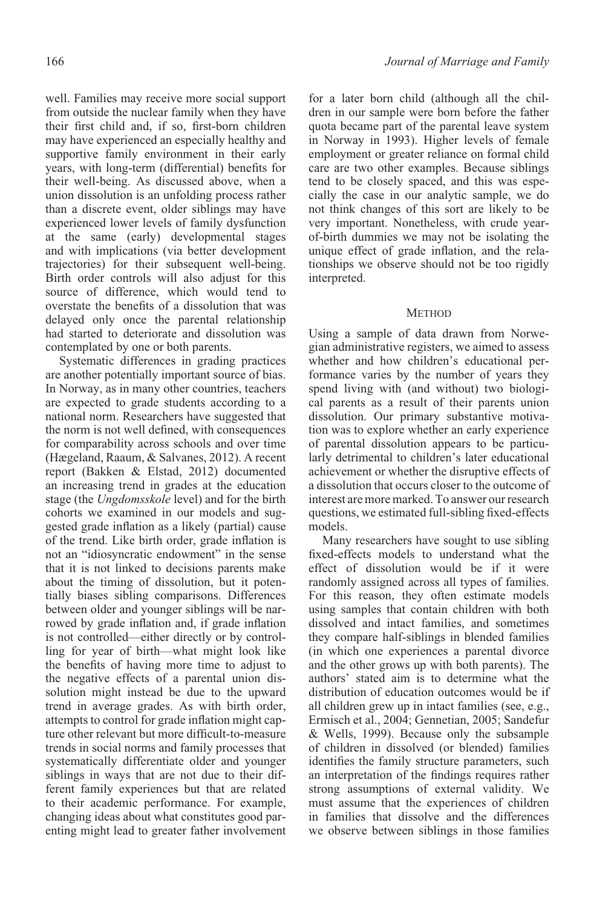well. Families may receive more social support from outside the nuclear family when they have their first child and, if so, first-born children may have experienced an especially healthy and supportive family environment in their early years, with long-term (differential) benefits for their well-being. As discussed above, when a union dissolution is an unfolding process rather than a discrete event, older siblings may have experienced lower levels of family dysfunction at the same (early) developmental stages and with implications (via better development trajectories) for their subsequent well-being. Birth order controls will also adjust for this source of difference, which would tend to overstate the benefits of a dissolution that was delayed only once the parental relationship had started to deteriorate and dissolution was contemplated by one or both parents.

Systematic differences in grading practices are another potentially important source of bias. In Norway, as in many other countries, teachers are expected to grade students according to a national norm. Researchers have suggested that the norm is not well defined, with consequences for comparability across schools and over time (Hægeland, Raaum, & Salvanes, 2012). A recent report (Bakken & Elstad, 2012) documented an increasing trend in grades at the education stage (the *Ungdomsskole* level) and for the birth cohorts we examined in our models and suggested grade inflation as a likely (partial) cause of the trend. Like birth order, grade inflation is not an "idiosyncratic endowment" in the sense that it is not linked to decisions parents make about the timing of dissolution, but it potentially biases sibling comparisons. Differences between older and younger siblings will be narrowed by grade inflation and, if grade inflation is not controlled—either directly or by controlling for year of birth—what might look like the benefits of having more time to adjust to the negative effects of a parental union dissolution might instead be due to the upward trend in average grades. As with birth order, attempts to control for grade inflation might capture other relevant but more difficult-to-measure trends in social norms and family processes that systematically differentiate older and younger siblings in ways that are not due to their different family experiences but that are related to their academic performance. For example, changing ideas about what constitutes good parenting might lead to greater father involvement

for a later born child (although all the children in our sample were born before the father quota became part of the parental leave system in Norway in 1993). Higher levels of female employment or greater reliance on formal child care are two other examples. Because siblings tend to be closely spaced, and this was especially the case in our analytic sample, we do not think changes of this sort are likely to be very important. Nonetheless, with crude yearof-birth dummies we may not be isolating the unique effect of grade inflation, and the relationships we observe should not be too rigidly interpreted.

## **METHOD**

Using a sample of data drawn from Norwegian administrative registers, we aimed to assess whether and how children's educational performance varies by the number of years they spend living with (and without) two biological parents as a result of their parents union dissolution. Our primary substantive motivation was to explore whether an early experience of parental dissolution appears to be particularly detrimental to children's later educational achievement or whether the disruptive effects of a dissolution that occurs closer to the outcome of interest are more marked. To answer our research questions, we estimated full-sibling fixed-effects models.

Many researchers have sought to use sibling fixed-effects models to understand what the effect of dissolution would be if it were randomly assigned across all types of families. For this reason, they often estimate models using samples that contain children with both dissolved and intact families, and sometimes they compare half-siblings in blended families (in which one experiences a parental divorce and the other grows up with both parents). The authors' stated aim is to determine what the distribution of education outcomes would be if all children grew up in intact families (see, e.g., Ermisch et al., 2004; Gennetian, 2005; Sandefur & Wells, 1999). Because only the subsample of children in dissolved (or blended) families identifies the family structure parameters, such an interpretation of the findings requires rather strong assumptions of external validity. We must assume that the experiences of children in families that dissolve and the differences we observe between siblings in those families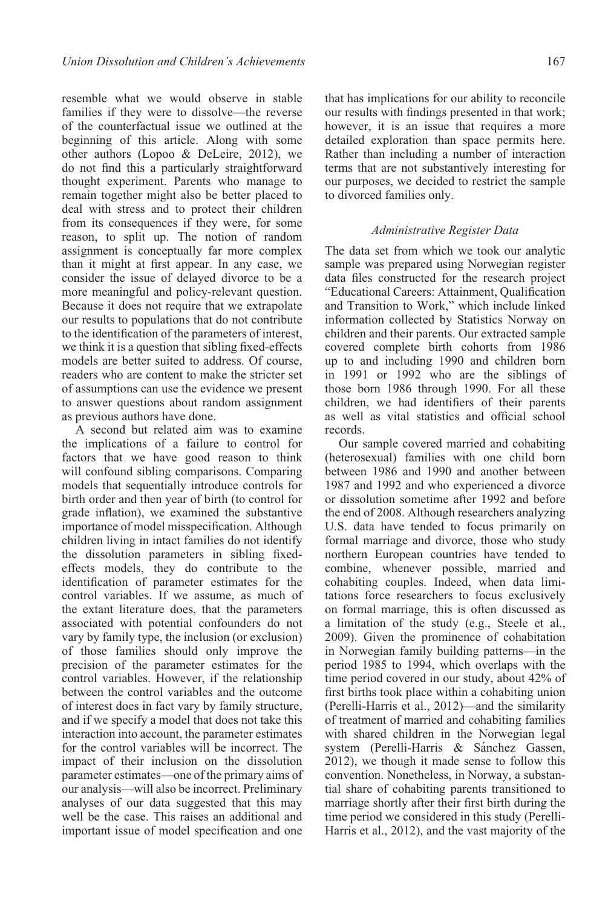resemble what we would observe in stable families if they were to dissolve—the reverse of the counterfactual issue we outlined at the beginning of this article. Along with some other authors (Lopoo & DeLeire, 2012), we do not find this a particularly straightforward thought experiment. Parents who manage to remain together might also be better placed to deal with stress and to protect their children from its consequences if they were, for some reason, to split up. The notion of random assignment is conceptually far more complex than it might at first appear. In any case, we consider the issue of delayed divorce to be a more meaningful and policy-relevant question. Because it does not require that we extrapolate our results to populations that do not contribute to the identification of the parameters of interest, we think it is a question that sibling fixed-effects models are better suited to address. Of course, readers who are content to make the stricter set of assumptions can use the evidence we present to answer questions about random assignment as previous authors have done.

A second but related aim was to examine the implications of a failure to control for factors that we have good reason to think will confound sibling comparisons. Comparing models that sequentially introduce controls for birth order and then year of birth (to control for grade inflation), we examined the substantive importance of model misspecification. Although children living in intact families do not identify the dissolution parameters in sibling fixedeffects models, they do contribute to the identification of parameter estimates for the control variables. If we assume, as much of the extant literature does, that the parameters associated with potential confounders do not vary by family type, the inclusion (or exclusion) of those families should only improve the precision of the parameter estimates for the control variables. However, if the relationship between the control variables and the outcome of interest does in fact vary by family structure, and if we specify a model that does not take this interaction into account, the parameter estimates for the control variables will be incorrect. The impact of their inclusion on the dissolution parameter estimates—one of the primary aims of our analysis—will also be incorrect. Preliminary analyses of our data suggested that this may well be the case. This raises an additional and important issue of model specification and one

that has implications for our ability to reconcile our results with findings presented in that work; however, it is an issue that requires a more detailed exploration than space permits here. Rather than including a number of interaction terms that are not substantively interesting for our purposes, we decided to restrict the sample to divorced families only.

#### *Administrative Register Data*

The data set from which we took our analytic sample was prepared using Norwegian register data files constructed for the research project "Educational Careers: Attainment, Qualification and Transition to Work," which include linked information collected by Statistics Norway on children and their parents. Our extracted sample covered complete birth cohorts from 1986 up to and including 1990 and children born in 1991 or 1992 who are the siblings of those born 1986 through 1990. For all these children, we had identifiers of their parents as well as vital statistics and official school records.

Our sample covered married and cohabiting (heterosexual) families with one child born between 1986 and 1990 and another between 1987 and 1992 and who experienced a divorce or dissolution sometime after 1992 and before the end of 2008. Although researchers analyzing U.S. data have tended to focus primarily on formal marriage and divorce, those who study northern European countries have tended to combine, whenever possible, married and cohabiting couples. Indeed, when data limitations force researchers to focus exclusively on formal marriage, this is often discussed as a limitation of the study (e.g., Steele et al., 2009). Given the prominence of cohabitation in Norwegian family building patterns—in the period 1985 to 1994, which overlaps with the time period covered in our study, about 42% of first births took place within a cohabiting union (Perelli-Harris et al., 2012)—and the similarity of treatment of married and cohabiting families with shared children in the Norwegian legal system (Perelli-Harris & Sánchez Gassen, 2012), we though it made sense to follow this convention. Nonetheless, in Norway, a substantial share of cohabiting parents transitioned to marriage shortly after their first birth during the time period we considered in this study (Perelli-Harris et al., 2012), and the vast majority of the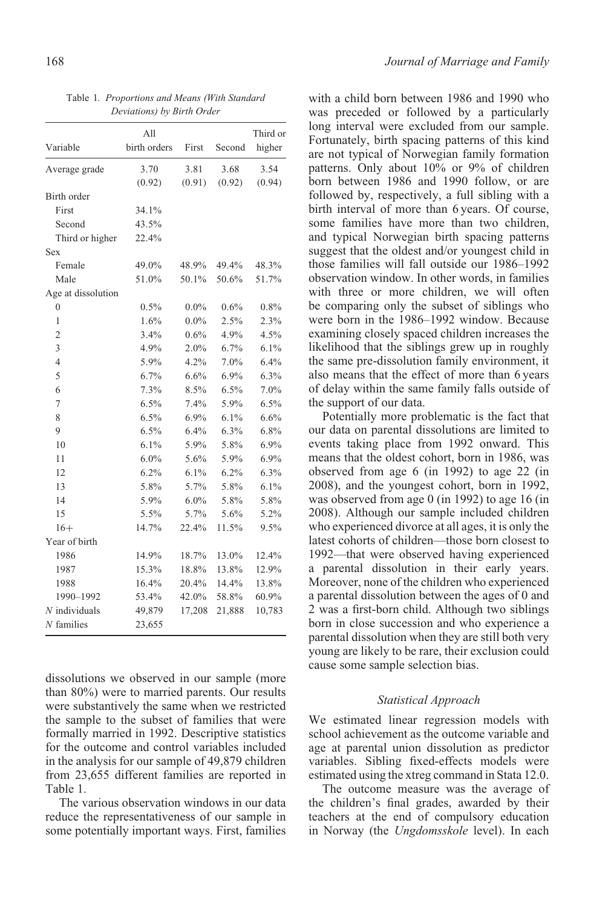|  | Table 1. Proportions and Means (With Standard |
|--|-----------------------------------------------|
|  | Deviations) by Birth Order                    |

| Variable           | All<br>birth orders | First   | Second  | Third or<br>higher |
|--------------------|---------------------|---------|---------|--------------------|
|                    |                     |         |         |                    |
| Average grade      | 3.70                | 3.81    | 3.68    | 3.54               |
|                    | (0.92)              | (0.91)  | (0.92)  | (0.94)             |
| Birth order        |                     |         |         |                    |
| First              | 34.1%               |         |         |                    |
| Second             | 43.5%               |         |         |                    |
| Third or higher    | 22.4%               |         |         |                    |
| Sex                |                     |         |         |                    |
| Female             | 49.0%               | 48.9%   | 49.4%   | 48.3%              |
| Male               | 51.0%               | 50.1%   | 50.6%   | 51.7%              |
| Age at dissolution |                     |         |         |                    |
| $\theta$           | 0.5%                | $0.0\%$ | 0.6%    | 0.8%               |
| 1                  | 1.6%                | $0.0\%$ | 2.5%    | 2.3%               |
| $\overline{2}$     | 3.4%                | 0.6%    | 4.9%    | 4.5%               |
| 3                  | 4.9%                | 2.0%    | 6.7%    | 6.1%               |
| $\overline{4}$     | 5.9%                | 4.2%    | 7.0%    | 6.4%               |
| 5                  | 6.7%                | 6.6%    | 6.9%    | $6.3\%$            |
| 6                  | 7.3%                | 8.5%    | 6.5%    | 7.0%               |
| 7                  | 6.5%                | 7.4%    | 5.9%    | 6.5%               |
| 8                  | 6.5%                | $6.9\%$ | $6.1\%$ | 6.6%               |
| 9                  | 6.5%                | 6.4%    | 6.3%    | 6.8%               |
| 10                 | 6.1%                | 5.9%    | 5.8%    | $6.9\%$            |
| 11                 | $6.0\%$             | 5.6%    | 5.9%    | 6.9%               |
| 12                 | 6.2%                | 6.1%    | 6.2%    | 6.3%               |
| 13                 | 5.8%                | 5.7%    | 5.8%    | 6.1%               |
| 14                 | 5.9%                | 6.0%    | 5.8%    | 5.8%               |
| 15                 | 5.5%                | 5.7%    | 5.6%    | 5.2%               |
| $16+$              | 14.7%               | 22.4%   | 11.5%   | 9.5%               |
| Year of birth      |                     |         |         |                    |
| 1986               | 14.9%               | 18.7%   | 13.0%   | 12.4%              |
| 1987               | 15.3%               | 18.8%   | 13.8%   | 12.9%              |
| 1988               | 16.4%               | 20.4%   | 14.4%   | 13.8%              |
| 1990-1992          | 53.4%               | 42.0%   | 58.8%   | 60.9%              |
| $N$ individuals    | 49,879              | 17,208  | 21,888  | 10,783             |
| $N$ families       | 23,655              |         |         |                    |

dissolutions we observed in our sample (more than 80%) were to married parents. Our results were substantively the same when we restricted the sample to the subset of families that were formally married in 1992. Descriptive statistics for the outcome and control variables included in the analysis for our sample of 49,879 children from 23,655 different families are reported in Table 1.

The various observation windows in our data reduce the representativeness of our sample in some potentially important ways. First, families with a child born between 1986 and 1990 who was preceded or followed by a particularly long interval were excluded from our sample. Fortunately, birth spacing patterns of this kind are not typical of Norwegian family formation patterns. Only about 10% or 9% of children born between 1986 and 1990 follow, or are followed by, respectively, a full sibling with a birth interval of more than 6 years. Of course, some families have more than two children, and typical Norwegian birth spacing patterns suggest that the oldest and/or youngest child in those families will fall outside our 1986–1992 observation window. In other words, in families with three or more children, we will often be comparing only the subset of siblings who were born in the 1986–1992 window. Because examining closely spaced children increases the likelihood that the siblings grew up in roughly the same pre-dissolution family environment, it also means that the effect of more than 6 years of delay within the same family falls outside of the support of our data.

Potentially more problematic is the fact that our data on parental dissolutions are limited to events taking place from 1992 onward. This means that the oldest cohort, born in 1986, was observed from age 6 (in 1992) to age 22 (in 2008), and the youngest cohort, born in 1992, was observed from age 0 (in 1992) to age 16 (in 2008). Although our sample included children who experienced divorce at all ages, it is only the latest cohorts of children—those born closest to 1992—that were observed having experienced a parental dissolution in their early years. Moreover, none of the children who experienced a parental dissolution between the ages of 0 and 2 was a first-born child. Although two siblings born in close succession and who experience a parental dissolution when they are still both very young are likely to be rare, their exclusion could cause some sample selection bias.

#### *Statistical Approach*

We estimated linear regression models with school achievement as the outcome variable and age at parental union dissolution as predictor variables. Sibling fixed-effects models were estimated using the xtreg command in Stata 12.0.

The outcome measure was the average of the children's final grades, awarded by their teachers at the end of compulsory education in Norway (the *Ungdomsskole* level). In each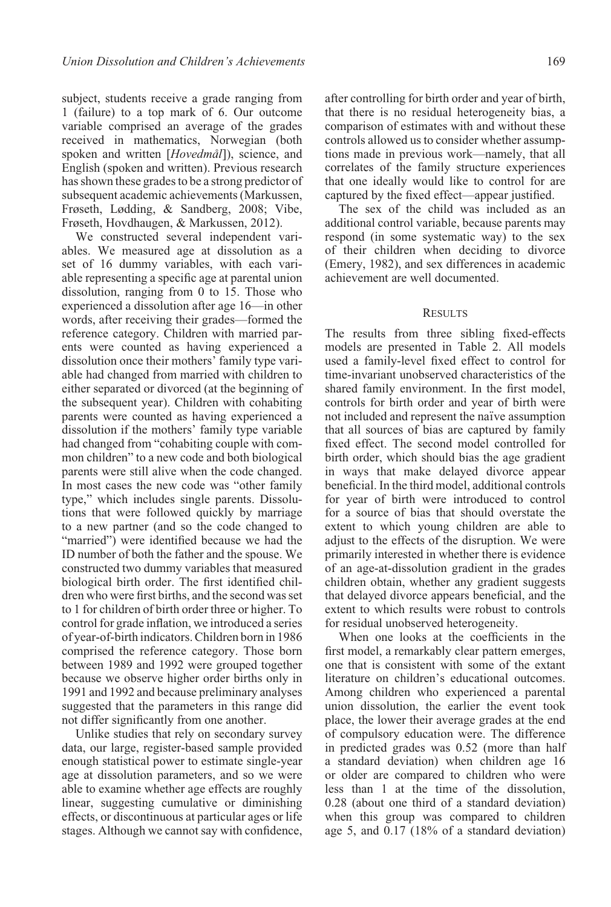subject, students receive a grade ranging from 1 (failure) to a top mark of 6. Our outcome variable comprised an average of the grades received in mathematics, Norwegian (both spoken and written [*Hovedmål*]), science, and English (spoken and written). Previous research has shown these grades to be a strong predictor of subsequent academic achievements (Markussen, Frøseth, Lødding, & Sandberg, 2008; Vibe, Frøseth, Hovdhaugen, & Markussen, 2012).

We constructed several independent variables. We measured age at dissolution as a set of 16 dummy variables, with each variable representing a specific age at parental union dissolution, ranging from 0 to 15. Those who experienced a dissolution after age 16—in other words, after receiving their grades—formed the reference category. Children with married parents were counted as having experienced a dissolution once their mothers' family type variable had changed from married with children to either separated or divorced (at the beginning of the subsequent year). Children with cohabiting parents were counted as having experienced a dissolution if the mothers' family type variable had changed from "cohabiting couple with common children" to a new code and both biological parents were still alive when the code changed. In most cases the new code was "other family type," which includes single parents. Dissolutions that were followed quickly by marriage to a new partner (and so the code changed to "married") were identified because we had the ID number of both the father and the spouse. We constructed two dummy variables that measured biological birth order. The first identified children who were first births, and the second was set to 1 for children of birth order three or higher. To control for grade inflation, we introduced a series of year-of-birth indicators. Children born in 1986 comprised the reference category. Those born between 1989 and 1992 were grouped together because we observe higher order births only in 1991 and 1992 and because preliminary analyses suggested that the parameters in this range did not differ significantly from one another.

Unlike studies that rely on secondary survey data, our large, register-based sample provided enough statistical power to estimate single-year age at dissolution parameters, and so we were able to examine whether age effects are roughly linear, suggesting cumulative or diminishing effects, or discontinuous at particular ages or life stages. Although we cannot say with confidence,

after controlling for birth order and year of birth, that there is no residual heterogeneity bias, a comparison of estimates with and without these controls allowed us to consider whether assumptions made in previous work—namely, that all correlates of the family structure experiences that one ideally would like to control for are captured by the fixed effect—appear justified.

The sex of the child was included as an additional control variable, because parents may respond (in some systematic way) to the sex of their children when deciding to divorce (Emery, 1982), and sex differences in academic achievement are well documented.

RESULTS

The results from three sibling fixed-effects models are presented in Table 2. All models used a family-level fixed effect to control for time-invariant unobserved characteristics of the shared family environment. In the first model, controls for birth order and year of birth were not included and represent the naïve assumption that all sources of bias are captured by family fixed effect. The second model controlled for birth order, which should bias the age gradient in ways that make delayed divorce appear beneficial. In the third model, additional controls for year of birth were introduced to control for a source of bias that should overstate the extent to which young children are able to adjust to the effects of the disruption. We were primarily interested in whether there is evidence of an age-at-dissolution gradient in the grades children obtain, whether any gradient suggests that delayed divorce appears beneficial, and the extent to which results were robust to controls for residual unobserved heterogeneity.

When one looks at the coefficients in the first model, a remarkably clear pattern emerges, one that is consistent with some of the extant literature on children's educational outcomes. Among children who experienced a parental union dissolution, the earlier the event took place, the lower their average grades at the end of compulsory education were. The difference in predicted grades was 0.52 (more than half a standard deviation) when children age 16 or older are compared to children who were less than 1 at the time of the dissolution, 0.28 (about one third of a standard deviation) when this group was compared to children age 5, and 0.17 (18% of a standard deviation)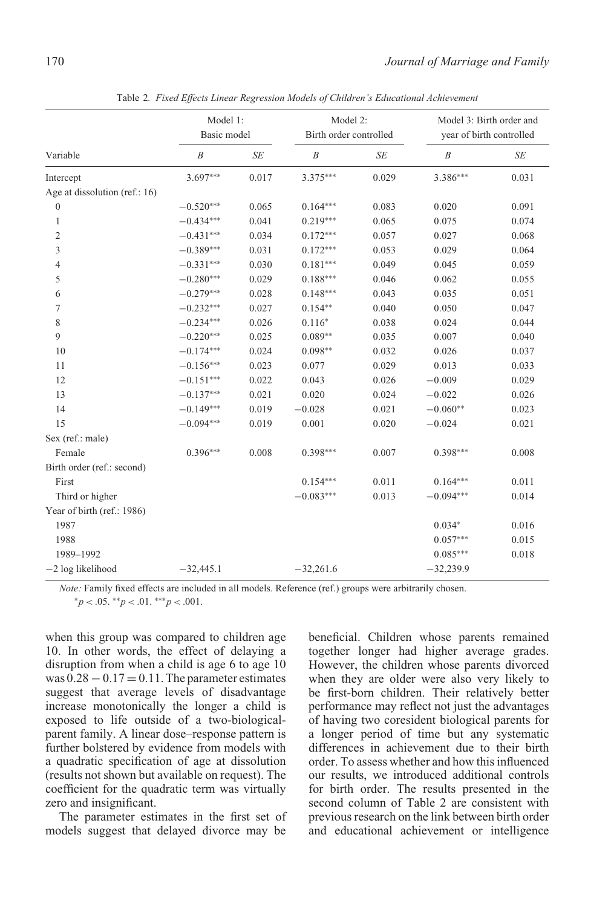|                               | Model 1:<br>Basic model |       |                  | Model 2:<br>Birth order controlled |                  | Model 3: Birth order and<br>year of birth controlled |  |
|-------------------------------|-------------------------|-------|------------------|------------------------------------|------------------|------------------------------------------------------|--|
| Variable                      | $\overline{B}$          | SE    | $\boldsymbol{B}$ | $\cal SE$                          | $\boldsymbol{B}$ | $\cal SE$                                            |  |
| Intercept                     | $3.697***$              | 0.017 | 3.375***         | 0.029                              | 3.386***         | 0.031                                                |  |
| Age at dissolution (ref.: 16) |                         |       |                  |                                    |                  |                                                      |  |
| $\boldsymbol{0}$              | $-0.520***$             | 0.065 | $0.164***$       | 0.083                              | 0.020            | 0.091                                                |  |
| $\mathbf{1}$                  | $-0.434***$             | 0.041 | $0.219***$       | 0.065                              | 0.075            | 0.074                                                |  |
| $\overline{c}$                | $-0.431***$             | 0.034 | $0.172***$       | 0.057                              | 0.027            | 0.068                                                |  |
| 3                             | $-0.389***$             | 0.031 | $0.172***$       | 0.053                              | 0.029            | 0.064                                                |  |
| 4                             | $-0.331***$             | 0.030 | $0.181***$       | 0.049                              | 0.045            | 0.059                                                |  |
| 5                             | $-0.280***$             | 0.029 | $0.188***$       | 0.046                              | 0.062            | 0.055                                                |  |
| 6                             | $-0.279***$             | 0.028 | $0.148***$       | 0.043                              | 0.035            | 0.051                                                |  |
| 7                             | $-0.232***$             | 0.027 | $0.154**$        | 0.040                              | 0.050            | 0.047                                                |  |
| 8                             | $-0.234***$             | 0.026 | $0.116*$         | 0.038                              | 0.024            | 0.044                                                |  |
| 9                             | $-0.220***$             | 0.025 | $0.089**$        | 0.035                              | 0.007            | 0.040                                                |  |
| 10                            | $-0.174***$             | 0.024 | $0.098**$        | 0.032                              | 0.026            | 0.037                                                |  |
| 11                            | $-0.156***$             | 0.023 | 0.077            | 0.029                              | 0.013            | 0.033                                                |  |
| 12                            | $-0.151***$             | 0.022 | 0.043            | 0.026                              | $-0.009$         | 0.029                                                |  |
| 13                            | $-0.137***$             | 0.021 | 0.020            | 0.024                              | $-0.022$         | 0.026                                                |  |
| 14                            | $-0.149***$             | 0.019 | $-0.028$         | 0.021                              | $-0.060**$       | 0.023                                                |  |
| 1.5                           | $-0.094***$             | 0.019 | 0.001            | 0.020                              | $-0.024$         | 0.021                                                |  |
| Sex (ref.: male)              |                         |       |                  |                                    |                  |                                                      |  |
| Female                        | $0.396***$              | 0.008 | $0.398***$       | 0.007                              | $0.398***$       | 0.008                                                |  |
| Birth order (ref.: second)    |                         |       |                  |                                    |                  |                                                      |  |
| First                         |                         |       | $0.154***$       | 0.011                              | $0.164***$       | 0.011                                                |  |
| Third or higher               |                         |       | $-0.083***$      | 0.013                              | $-0.094***$      | 0.014                                                |  |
| Year of birth (ref.: 1986)    |                         |       |                  |                                    |                  |                                                      |  |
| 1987                          |                         |       |                  |                                    | $0.034*$         | 0.016                                                |  |
| 1988                          |                         |       |                  |                                    | $0.057***$       | 0.015                                                |  |
| 1989-1992                     |                         |       |                  |                                    | $0.085***$       | 0.018                                                |  |
| $-2$ log likelihood           | $-32,445.1$             |       | $-32,261.6$      |                                    | $-32,239.9$      |                                                      |  |

Table 2*. Fixed Effects Linear Regression Models of Children's Educational Achievement*

*Note:* Family fixed effects are included in all models. Reference (ref.) groups were arbitrarily chosen. <sup>∗</sup>*p* < .05. ∗∗*p* < .01. ∗∗∗*p* < .001.

when this group was compared to children age 10. In other words, the effect of delaying a disruption from when a child is age 6 to age 10 was  $0.28 - 0.17 = 0.11$ . The parameter estimates suggest that average levels of disadvantage increase monotonically the longer a child is exposed to life outside of a two-biologicalparent family. A linear dose–response pattern is further bolstered by evidence from models with a quadratic specification of age at dissolution (results not shown but available on request). The coefficient for the quadratic term was virtually zero and insignificant.

The parameter estimates in the first set of models suggest that delayed divorce may be

beneficial. Children whose parents remained together longer had higher average grades. However, the children whose parents divorced when they are older were also very likely to be first-born children. Their relatively better performance may reflect not just the advantages of having two coresident biological parents for a longer period of time but any systematic differences in achievement due to their birth order. To assess whether and how this influenced our results, we introduced additional controls for birth order. The results presented in the second column of Table 2 are consistent with previous research on the link between birth order and educational achievement or intelligence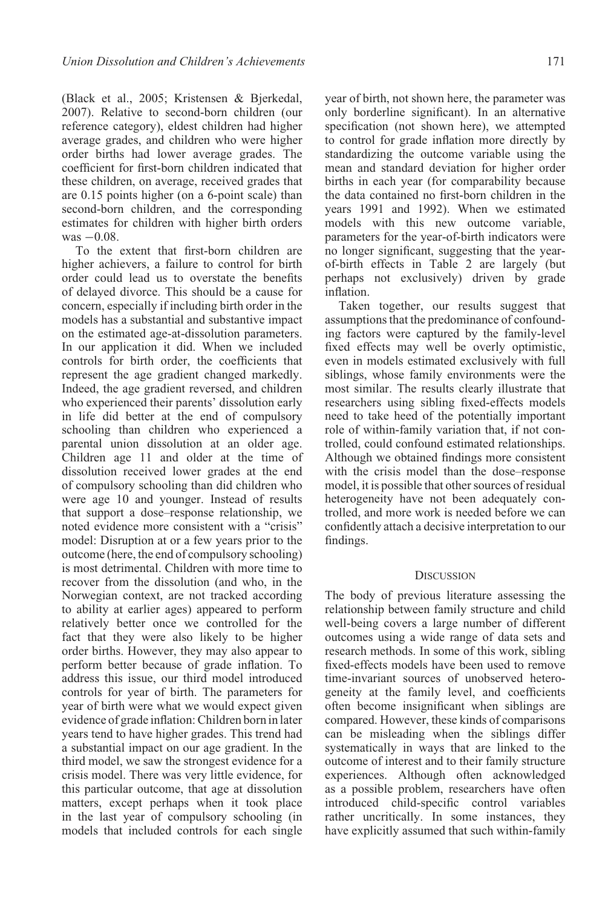(Black et al., 2005; Kristensen & Bjerkedal, 2007). Relative to second-born children (our reference category), eldest children had higher average grades, and children who were higher order births had lower average grades. The coefficient for first-born children indicated that these children, on average, received grades that are 0.15 points higher (on a 6-point scale) than second-born children, and the corresponding estimates for children with higher birth orders was  $-0.08$ .

To the extent that first-born children are higher achievers, a failure to control for birth order could lead us to overstate the benefits of delayed divorce. This should be a cause for concern, especially if including birth order in the models has a substantial and substantive impact on the estimated age-at-dissolution parameters. In our application it did. When we included controls for birth order, the coefficients that represent the age gradient changed markedly. Indeed, the age gradient reversed, and children who experienced their parents' dissolution early in life did better at the end of compulsory schooling than children who experienced a parental union dissolution at an older age. Children age 11 and older at the time of dissolution received lower grades at the end of compulsory schooling than did children who were age 10 and younger. Instead of results that support a dose–response relationship, we noted evidence more consistent with a "crisis" model: Disruption at or a few years prior to the outcome (here, the end of compulsory schooling) is most detrimental. Children with more time to recover from the dissolution (and who, in the Norwegian context, are not tracked according to ability at earlier ages) appeared to perform relatively better once we controlled for the fact that they were also likely to be higher order births. However, they may also appear to perform better because of grade inflation. To address this issue, our third model introduced controls for year of birth. The parameters for year of birth were what we would expect given evidence of grade inflation: Children born in later years tend to have higher grades. This trend had a substantial impact on our age gradient. In the third model, we saw the strongest evidence for a crisis model. There was very little evidence, for this particular outcome, that age at dissolution matters, except perhaps when it took place in the last year of compulsory schooling (in models that included controls for each single

year of birth, not shown here, the parameter was only borderline significant). In an alternative specification (not shown here), we attempted to control for grade inflation more directly by standardizing the outcome variable using the mean and standard deviation for higher order births in each year (for comparability because the data contained no first-born children in the years 1991 and 1992). When we estimated models with this new outcome variable, parameters for the year-of-birth indicators were no longer significant, suggesting that the yearof-birth effects in Table 2 are largely (but perhaps not exclusively) driven by grade inflation.

Taken together, our results suggest that assumptions that the predominance of confounding factors were captured by the family-level fixed effects may well be overly optimistic, even in models estimated exclusively with full siblings, whose family environments were the most similar. The results clearly illustrate that researchers using sibling fixed-effects models need to take heed of the potentially important role of within-family variation that, if not controlled, could confound estimated relationships. Although we obtained findings more consistent with the crisis model than the dose–response model, it is possible that other sources of residual heterogeneity have not been adequately controlled, and more work is needed before we can confidently attach a decisive interpretation to our findings.

#### **DISCUSSION**

The body of previous literature assessing the relationship between family structure and child well-being covers a large number of different outcomes using a wide range of data sets and research methods. In some of this work, sibling fixed-effects models have been used to remove time-invariant sources of unobserved heterogeneity at the family level, and coefficients often become insignificant when siblings are compared. However, these kinds of comparisons can be misleading when the siblings differ systematically in ways that are linked to the outcome of interest and to their family structure experiences. Although often acknowledged as a possible problem, researchers have often introduced child-specific control variables rather uncritically. In some instances, they have explicitly assumed that such within-family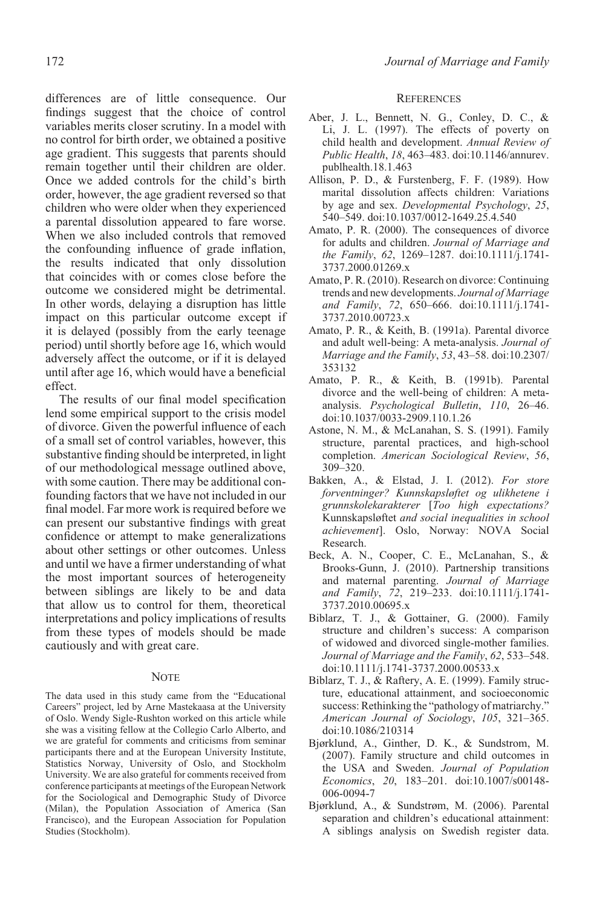differences are of little consequence. Our findings suggest that the choice of control variables merits closer scrutiny. In a model with no control for birth order, we obtained a positive age gradient. This suggests that parents should remain together until their children are older. Once we added controls for the child's birth order, however, the age gradient reversed so that children who were older when they experienced a parental dissolution appeared to fare worse. When we also included controls that removed the confounding influence of grade inflation, the results indicated that only dissolution that coincides with or comes close before the outcome we considered might be detrimental. In other words, delaying a disruption has little impact on this particular outcome except if it is delayed (possibly from the early teenage period) until shortly before age 16, which would adversely affect the outcome, or if it is delayed until after age 16, which would have a beneficial effect.

The results of our final model specification lend some empirical support to the crisis model of divorce. Given the powerful influence of each of a small set of control variables, however, this substantive finding should be interpreted, in light of our methodological message outlined above, with some caution. There may be additional confounding factors that we have not included in our final model. Far more work is required before we can present our substantive findings with great confidence or attempt to make generalizations about other settings or other outcomes. Unless and until we have a firmer understanding of what the most important sources of heterogeneity between siblings are likely to be and data that allow us to control for them, theoretical interpretations and policy implications of results from these types of models should be made cautiously and with great care.

# **NOTE**

The data used in this study came from the "Educational Careers" project, led by Arne Mastekaasa at the University of Oslo. Wendy Sigle-Rushton worked on this article while she was a visiting fellow at the Collegio Carlo Alberto, and we are grateful for comments and criticisms from seminar participants there and at the European University Institute, Statistics Norway, University of Oslo, and Stockholm University. We are also grateful for comments received from conference participants at meetings of the European Network for the Sociological and Demographic Study of Divorce (Milan), the Population Association of America (San Francisco), and the European Association for Population Studies (Stockholm).

### **REFERENCES**

- Aber, J. L., Bennett, N. G., Conley, D. C., & Li, J. L. (1997). The effects of poverty on child health and development. *Annual Review of Public Health*, *18*, 463–483. doi:10.1146/annurev. publhealth.18.1.463
- Allison, P. D., & Furstenberg, F. F. (1989). How marital dissolution affects children: Variations by age and sex. *Developmental Psychology*, *25*, 540–549. doi:10.1037/0012-1649.25.4.540
- Amato, P. R. (2000). The consequences of divorce for adults and children. *Journal of Marriage and the Family*, *62*, 1269–1287. doi:10.1111/j.1741- 3737.2000.01269.x
- Amato, P. R. (2010). Research on divorce: Continuing trends and new developments. *Journal of Marriage and Family*, *72*, 650–666. doi:10.1111/j.1741- 3737.2010.00723.x
- Amato, P. R., & Keith, B. (1991a). Parental divorce and adult well-being: A meta-analysis. *Journal of Marriage and the Family*, *53*, 43–58. doi:10.2307/ 353132
- Amato, P. R., & Keith, B. (1991b). Parental divorce and the well-being of children: A metaanalysis. *Psychological Bulletin*, *110*, 26–46. doi:10.1037/0033-2909.110.1.26
- Astone, N. M., & McLanahan, S. S. (1991). Family structure, parental practices, and high-school completion. *American Sociological Review*, *56*, 309–320.
- Bakken, A., & Elstad, J. I. (2012). *For store forventninger? Kunnskapsløftet og ulikhetene i grunnskolekarakterer* [*Too high expectations?* Kunnskapsløftet *and social inequalities in school achievement*]. Oslo, Norway: NOVA Social Research.
- Beck, A. N., Cooper, C. E., McLanahan, S., & Brooks-Gunn, J. (2010). Partnership transitions and maternal parenting. *Journal of Marriage and Family*, *72*, 219–233. doi:10.1111/j.1741- 3737.2010.00695.x
- Biblarz, T. J., & Gottainer, G. (2000). Family structure and children's success: A comparison of widowed and divorced single-mother families. *Journal of Marriage and the Family*, *62*, 533–548. doi:10.1111/j.1741-3737.2000.00533.x
- Biblarz, T. J., & Raftery, A. E. (1999). Family structure, educational attainment, and socioeconomic success: Rethinking the "pathology of matriarchy." *American Journal of Sociology*, *105*, 321–365. doi:10.1086/210314
- Bjørklund, A., Ginther, D. K., & Sundstrom, M. (2007). Family structure and child outcomes in the USA and Sweden. *Journal of Population Economics*, *20*, 183–201. doi:10.1007/s00148- 006-0094-7
- Bjørklund, A., & Sundstrøm, M. (2006). Parental separation and children's educational attainment: A siblings analysis on Swedish register data.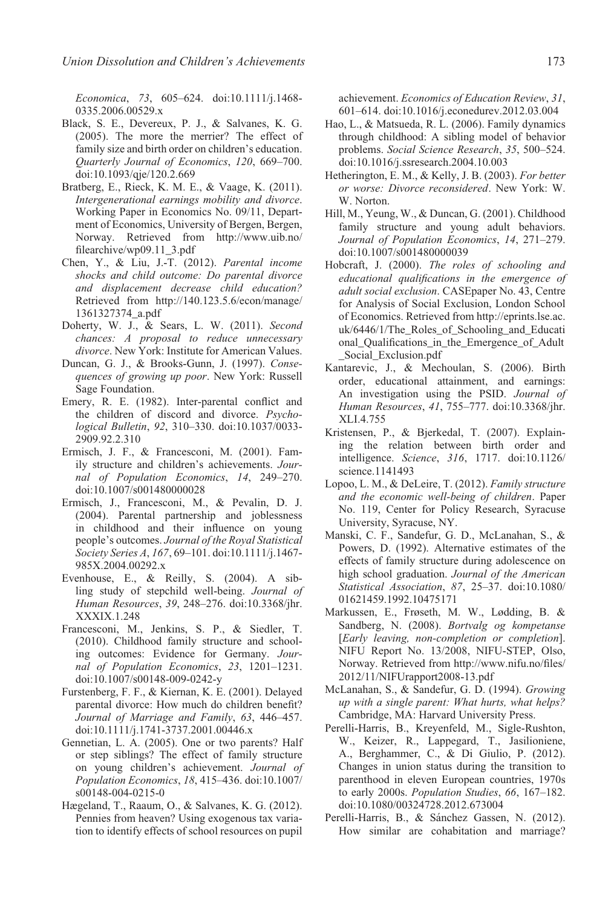*Economica*, *73*, 605–624. doi:10.1111/j.1468- 0335.2006.00529.x

- Black, S. E., Devereux, P. J., & Salvanes, K. G. (2005). The more the merrier? The effect of family size and birth order on children's education. *Quarterly Journal of Economics*, *120*, 669–700. doi:10.1093/qje/120.2.669
- Bratberg, E., Rieck, K. M. E., & Vaage, K. (2011). *Intergenerational earnings mobility and divorce*. Working Paper in Economics No. 09/11, Department of Economics, University of Bergen, Bergen, Norway. Retrieved from http://www.uib.no/ filearchive/wp09.11\_3.pdf
- Chen, Y., & Liu, J.-T. (2012). *Parental income shocks and child outcome: Do parental divorce and displacement decrease child education?* Retrieved from http://140.123.5.6/econ/manage/ 1361327374\_a.pdf
- Doherty, W. J., & Sears, L. W. (2011). *Second chances: A proposal to reduce unnecessary divorce*. New York: Institute for American Values.
- Duncan, G. J., & Brooks-Gunn, J. (1997). *Consequences of growing up poor*. New York: Russell Sage Foundation.
- Emery, R. E. (1982). Inter-parental conflict and the children of discord and divorce. *Psychological Bulletin*, *92*, 310–330. doi:10.1037/0033- 2909.92.2.310
- Ermisch, J. F., & Francesconi, M. (2001). Family structure and children's achievements. *Journal of Population Economics*, *14*, 249–270. doi:10.1007/s001480000028
- Ermisch, J., Francesconi, M., & Pevalin, D. J. (2004). Parental partnership and joblessness in childhood and their influence on young people's outcomes. *Journal of the Royal Statistical Society Series A*, *167*, 69–101. doi:10.1111/j.1467- 985X.2004.00292.x
- Evenhouse, E., & Reilly, S. (2004). A sibling study of stepchild well-being. *Journal of Human Resources*, *39*, 248–276. doi:10.3368/jhr. XXXIX.1.248
- Francesconi, M., Jenkins, S. P., & Siedler, T. (2010). Childhood family structure and schooling outcomes: Evidence for Germany. *Journal of Population Economics*, *23*, 1201–1231. doi:10.1007/s00148-009-0242-y
- Furstenberg, F. F., & Kiernan, K. E. (2001). Delayed parental divorce: How much do children benefit? *Journal of Marriage and Family*, *63*, 446–457. doi:10.1111/j.1741-3737.2001.00446.x
- Gennetian, L. A. (2005). One or two parents? Half or step siblings? The effect of family structure on young children's achievement. *Journal of Population Economics*, *18*, 415–436. doi:10.1007/ s00148-004-0215-0
- Hægeland, T., Raaum, O., & Salvanes, K. G. (2012). Pennies from heaven? Using exogenous tax variation to identify effects of school resources on pupil

achievement. *Economics of Education Review*, *31*, 601–614. doi:10.1016/j.econedurev.2012.03.004

- Hao, L., & Matsueda, R. L. (2006). Family dynamics through childhood: A sibling model of behavior problems. *Social Science Research*, *35*, 500–524. doi:10.1016/j.ssresearch.2004.10.003
- Hetherington, E. M., & Kelly, J. B. (2003). *For better or worse: Divorce reconsidered*. New York: W. W. Norton.
- Hill, M., Yeung, W., & Duncan, G. (2001). Childhood family structure and young adult behaviors. *Journal of Population Economics*, *14*, 271–279. doi:10.1007/s001480000039
- Hobcraft, J. (2000). *The roles of schooling and educational qualifications in the emergence of adult social exclusion*. CASEpaper No. 43, Centre for Analysis of Social Exclusion, London School of Economics. Retrieved from http://eprints.lse.ac. uk/6446/1/The\_Roles\_of\_Schooling\_and\_Educati onal\_Qualifications\_in\_the\_Emergence\_of\_Adult \_Social\_Exclusion.pdf
- Kantarevic, J., & Mechoulan, S. (2006). Birth order, educational attainment, and earnings: An investigation using the PSID. *Journal of Human Resources*, *41*, 755–777. doi:10.3368/jhr. XLI.4.755
- Kristensen, P., & Bjerkedal, T. (2007). Explaining the relation between birth order and intelligence. *Science*, *316*, 1717. doi:10.1126/ science.1141493
- Lopoo, L. M., & DeLeire, T. (2012). *Family structure and the economic well-being of children*. Paper No. 119, Center for Policy Research, Syracuse University, Syracuse, NY.
- Manski, C. F., Sandefur, G. D., McLanahan, S., & Powers, D. (1992). Alternative estimates of the effects of family structure during adolescence on high school graduation. *Journal of the American Statistical Association*, *87*, 25–37. doi:10.1080/ 01621459.1992.10475171
- Markussen, E., Frøseth, M. W., Lødding, B. & Sandberg, N. (2008). *Bortvalg og kompetanse* [*Early leaving, non-completion or completion*]. NIFU Report No. 13/2008, NIFU-STEP, Olso, Norway. Retrieved from http://www.nifu.no/files/ 2012/11/NIFUrapport2008-13.pdf
- McLanahan, S., & Sandefur, G. D. (1994). *Growing up with a single parent: What hurts, what helps?* Cambridge, MA: Harvard University Press.
- Perelli-Harris, B., Kreyenfeld, M., Sigle-Rushton, W., Keizer, R., Lappegard, T., Jasilioniene, A., Berghammer, C., & Di Giulio, P. (2012). Changes in union status during the transition to parenthood in eleven European countries, 1970s to early 2000s. *Population Studies*, *66*, 167–182. doi:10.1080/00324728.2012.673004
- Perelli-Harris, B., & Sánchez Gassen, N. (2012). How similar are cohabitation and marriage?